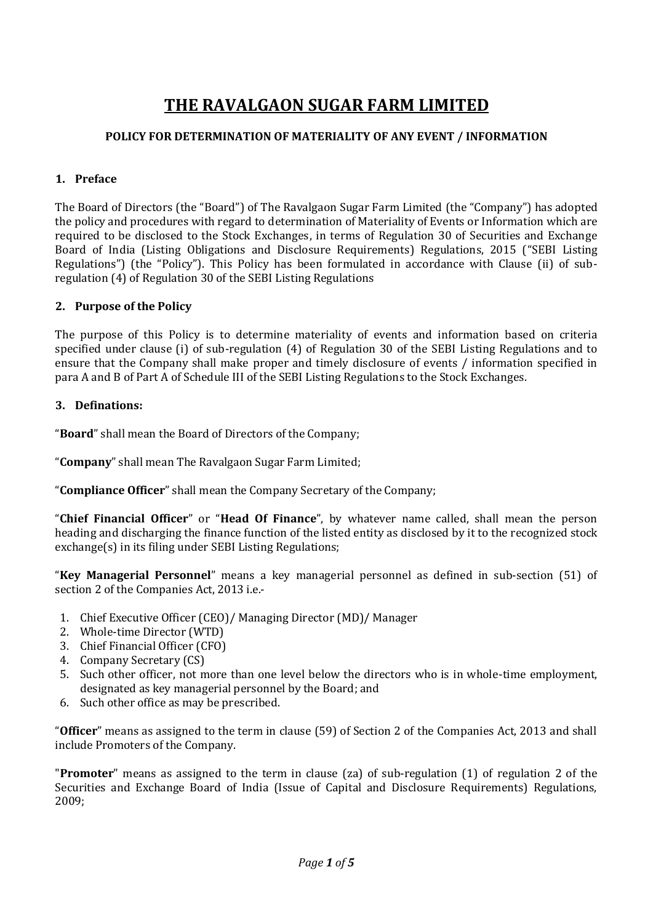# **THE RAVALGAON SUGAR FARM LIMITED**

# **POLICY FOR DETERMINATION OF MATERIALITY OF ANY EVENT / INFORMATION**

## **1. Preface**

The Board of Directors (the "Board") of The Ravalgaon Sugar Farm Limited (the "Company") has adopted the policy and procedures with regard to determination of Materiality of Events or Information which are required to be disclosed to the Stock Exchanges, in terms of Regulation 30 of Securities and Exchange Board of India (Listing Obligations and Disclosure Requirements) Regulations, 2015 ("SEBI Listing Regulations") (the "Policy"). This Policy has been formulated in accordance with Clause (ii) of subregulation (4) of Regulation 30 of the SEBI Listing Regulations

## **2. Purpose of the Policy**

The purpose of this Policy is to determine materiality of events and information based on criteria specified under clause (i) of sub-regulation (4) of Regulation 30 of the SEBI Listing Regulations and to ensure that the Company shall make proper and timely disclosure of events / information specified in para A and B of Part A of Schedule III of the SEBI Listing Regulations to the Stock Exchanges.

## **3. Definations:**

"**Board**" shall mean the Board of Directors of the Company;

"**Company**" shall mean The Ravalgaon Sugar Farm Limited;

"**Compliance Officer**" shall mean the Company Secretary of the Company;

"**Chief Financial Officer**" or "**Head Of Finance**", by whatever name called, shall mean the person heading and discharging the finance function of the listed entity as disclosed by it to the recognized stock exchange(s) in its filing under SEBI Listing Regulations;

"**Key Managerial Personnel**" means a key managerial personnel as defined in sub‐section (51) of section 2 of the Companies Act, 2013 i.e.‐

- 1. Chief Executive Officer (CEO)/ Managing Director (MD)/ Manager
- 2. Whole‐time Director (WTD)
- 3. Chief Financial Officer (CFO)
- 4. Company Secretary (CS)
- 5. Such other officer, not more than one level below the directors who is in whole-time employment, designated as key managerial personnel by the Board; and
- 6. Such other office as may be prescribed.

"**Officer**" means as assigned to the term in clause (59) of Section 2 of the Companies Act, 2013 and shall include Promoters of the Company.

"**Promoter**" means as assigned to the term in clause (za) of sub‐regulation (1) of regulation 2 of the Securities and Exchange Board of India (Issue of Capital and Disclosure Requirements) Regulations, 2009;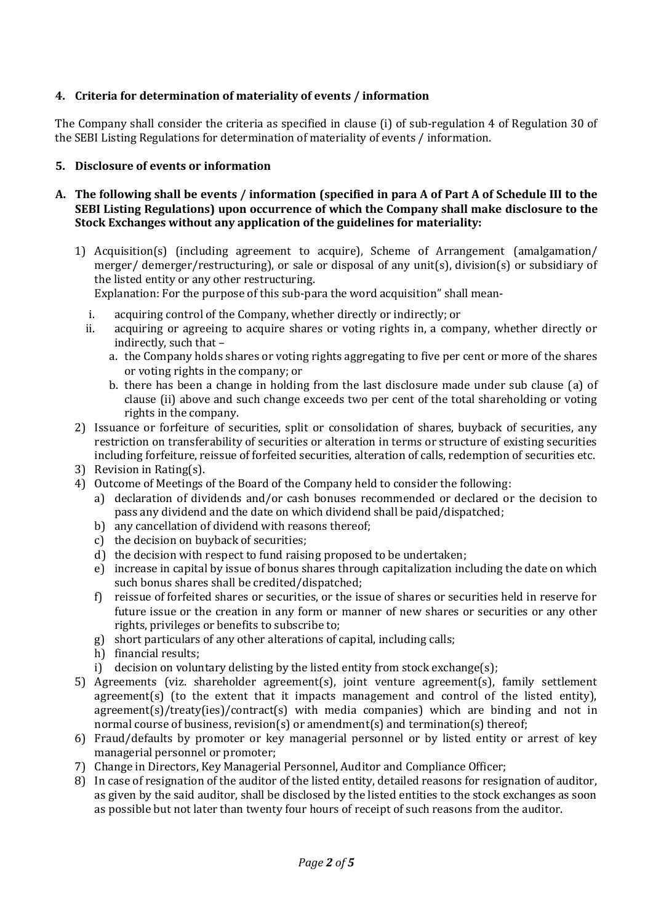# **4. Criteria for determination of materiality of events / information**

The Company shall consider the criteria as specified in clause (i) of sub-regulation 4 of Regulation 30 of the SEBI Listing Regulations for determination of materiality of events / information.

#### **5. Disclosure of events or information**

- **A. The following shall be events / information (specified in para A of Part A of Schedule III to the SEBI Listing Regulations) upon occurrence of which the Company shall make disclosure to the Stock Exchanges without any application of the guidelines for materiality:**
	- 1) Acquisition(s) (including agreement to acquire), Scheme of Arrangement (amalgamation/ merger/ demerger/restructuring), or sale or disposal of any unit(s), division(s) or subsidiary of the listed entity or any other restructuring.

Explanation: For the purpose of this sub-para the word acquisition" shall mean-

- i. acquiring control of the Company, whether directly or indirectly; or
- ii. acquiring or agreeing to acquire shares or voting rights in, a company, whether directly or indirectly, such that –
	- a. the Company holds shares or voting rights aggregating to five per cent or more of the shares or voting rights in the company; or
	- b. there has been a change in holding from the last disclosure made under sub clause (a) of clause (ii) above and such change exceeds two per cent of the total shareholding or voting rights in the company.
- 2) Issuance or forfeiture of securities, split or consolidation of shares, buyback of securities, any restriction on transferability of securities or alteration in terms or structure of existing securities including forfeiture, reissue of forfeited securities, alteration of calls, redemption of securities etc.
- 3) Revision in Rating(s).
- 4) Outcome of Meetings of the Board of the Company held to consider the following:
	- a) declaration of dividends and/or cash bonuses recommended or declared or the decision to pass any dividend and the date on which dividend shall be paid/dispatched;
	- b) any cancellation of dividend with reasons thereof;
	- c) the decision on buyback of securities;
	- d) the decision with respect to fund raising proposed to be undertaken;
	- e) increase in capital by issue of bonus shares through capitalization including the date on which such bonus shares shall be credited/dispatched;
	- f) reissue of forfeited shares or securities, or the issue of shares or securities held in reserve for future issue or the creation in any form or manner of new shares or securities or any other rights, privileges or benefits to subscribe to;
	- g) short particulars of any other alterations of capital, including calls;
	- h) financial results;
	- i) decision on voluntary delisting by the listed entity from stock exchange(s);
- 5) Agreements (viz. shareholder agreement(s), joint venture agreement(s), family settlement agreement(s) (to the extent that it impacts management and control of the listed entity), agreement(s)/treaty(ies)/contract(s) with media companies) which are binding and not in normal course of business, revision(s) or amendment(s) and termination(s) thereof;
- 6) Fraud/defaults by promoter or key managerial personnel or by listed entity or arrest of key managerial personnel or promoter;
- 7) Change in Directors, Key Managerial Personnel, Auditor and Compliance Officer;
- 8) In case of resignation of the auditor of the listed entity, detailed reasons for resignation of auditor, as given by the said auditor, shall be disclosed by the listed entities to the stock exchanges as soon as possible but not later than twenty four hours of receipt of such reasons from the auditor.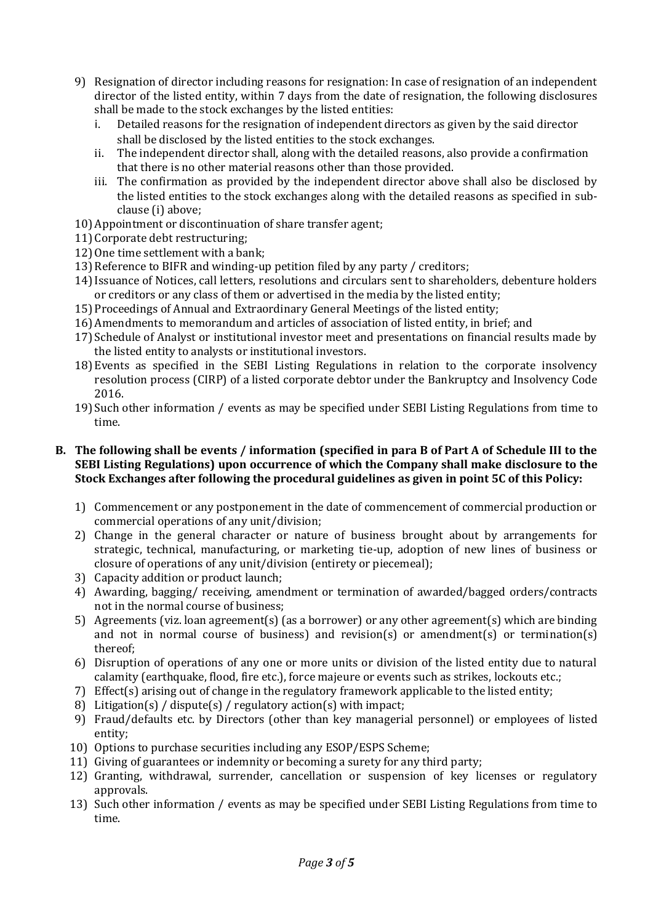- 9) Resignation of director including reasons for resignation: In case of resignation of an independent director of the listed entity, within 7 days from the date of resignation, the following disclosures shall be made to the stock exchanges by the listed entities:
	- i. Detailed reasons for the resignation of independent directors as given by the said director shall be disclosed by the listed entities to the stock exchanges.
	- ii. The independent director shall, along with the detailed reasons, also provide a confirmation that there is no other material reasons other than those provided.
	- iii. The confirmation as provided by the independent director above shall also be disclosed by the listed entities to the stock exchanges along with the detailed reasons as specified in subclause (i) above;
- 10) Appointment or discontinuation of share transfer agent;
- 11) Corporate debt restructuring;
- 12) One time settlement with a bank;
- 13) Reference to BIFR and winding-up petition filed by any party / creditors;
- 14)Issuance of Notices, call letters, resolutions and circulars sent to shareholders, debenture holders or creditors or any class of them or advertised in the media by the listed entity;
- 15) Proceedings of Annual and Extraordinary General Meetings of the listed entity;
- 16) Amendments to memorandum and articles of association of listed entity, in brief; and
- 17) Schedule of Analyst or institutional investor meet and presentations on financial results made by the listed entity to analysts or institutional investors.
- 18) Events as specified in the SEBI Listing Regulations in relation to the corporate insolvency resolution process (CIRP) of a listed corporate debtor under the Bankruptcy and Insolvency Code 2016.
- 19) Such other information / events as may be specified under SEBI Listing Regulations from time to time.

#### **B. The following shall be events / information (specified in para B of Part A of Schedule III to the SEBI Listing Regulations) upon occurrence of which the Company shall make disclosure to the Stock Exchanges after following the procedural guidelines as given in point 5C of this Policy:**

- 1) Commencement or any postponement in the date of commencement of commercial production or commercial operations of any unit/division;
- 2) Change in the general character or nature of business brought about by arrangements for strategic, technical, manufacturing, or marketing tie-up, adoption of new lines of business or closure of operations of any unit/division (entirety or piecemeal);
- 3) Capacity addition or product launch;
- 4) Awarding, bagging/ receiving, amendment or termination of awarded/bagged orders/contracts not in the normal course of business;
- 5) Agreements (viz. loan agreement(s) (as a borrower) or any other agreement(s) which are binding and not in normal course of business) and revision(s) or amendment(s) or termination(s) thereof;
- 6) Disruption of operations of any one or more units or division of the listed entity due to natural calamity (earthquake, flood, fire etc.), force majeure or events such as strikes, lockouts etc.;
- 7) Effect(s) arising out of change in the regulatory framework applicable to the listed entity;
- 8) Litigation(s) / dispute(s) / regulatory action(s) with impact;
- 9) Fraud/defaults etc. by Directors (other than key managerial personnel) or employees of listed entity;
- 10) Options to purchase securities including any ESOP/ESPS Scheme;
- 11) Giving of guarantees or indemnity or becoming a surety for any third party;
- 12) Granting, withdrawal, surrender, cancellation or suspension of key licenses or regulatory approvals.
- 13) Such other information / events as may be specified under SEBI Listing Regulations from time to time.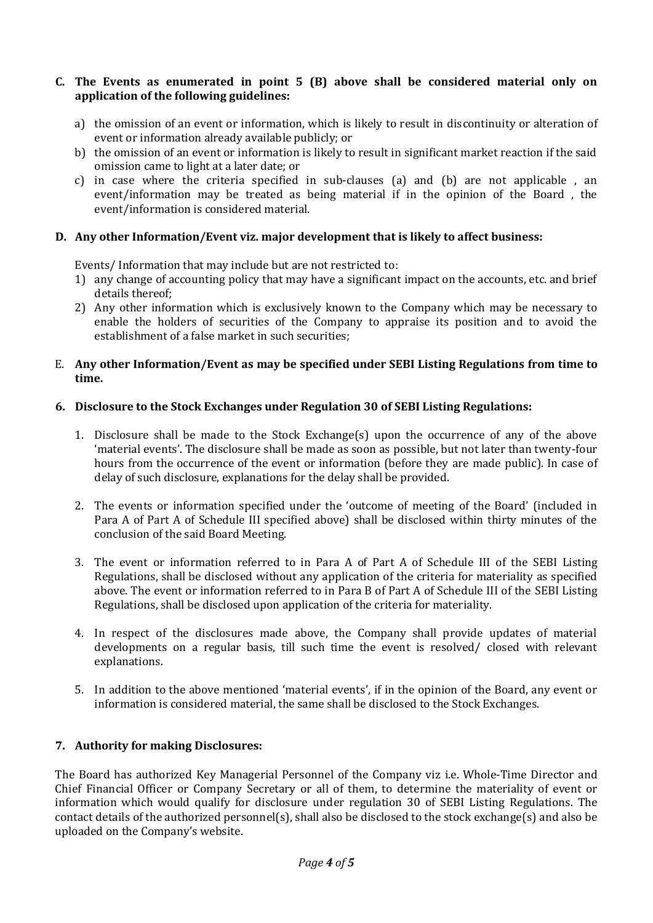#### **C. The Events as enumerated in point 5 (B) above shall be considered material only on application of the following guidelines:**

- a) the omission of an event or information, which is likely to result in discontinuity or alteration of event or information already available publicly; or
- b) the omission of an event or information is likely to result in significant market reaction if the said omission came to light at a later date; or
- c) in case where the criteria specified in sub-clauses (a) and (b) are not applicable , an event/information may be treated as being material if in the opinion of the Board , the event/information is considered material.

## **D. Any other Information/Event viz. major development that is likely to affect business:**

Events/ Information that may include but are not restricted to:

- 1) any change of accounting policy that may have a significant impact on the accounts, etc. and brief details thereof;
- 2) Any other information which is exclusively known to the Company which may be necessary to enable the holders of securities of the Company to appraise its position and to avoid the establishment of a false market in such securities;

#### E. **Any other Information/Event as may be specified under SEBI Listing Regulations from time to time.**

## **6. Disclosure to the Stock Exchanges under Regulation 30 of SEBI Listing Regulations:**

- 1. Disclosure shall be made to the Stock Exchange(s) upon the occurrence of any of the above 'material events'. The disclosure shall be made as soon as possible, but not later than twenty-four hours from the occurrence of the event or information (before they are made public). In case of delay of such disclosure, explanations for the delay shall be provided.
- 2. The events or information specified under the 'outcome of meeting of the Board' (included in Para A of Part A of Schedule III specified above) shall be disclosed within thirty minutes of the conclusion of the said Board Meeting.
- 3. The event or information referred to in Para A of Part A of Schedule III of the SEBI Listing Regulations, shall be disclosed without any application of the criteria for materiality as specified above. The event or information referred to in Para B of Part A of Schedule III of the SEBI Listing Regulations, shall be disclosed upon application of the criteria for materiality.
- 4. In respect of the disclosures made above, the Company shall provide updates of material developments on a regular basis, till such time the event is resolved/ closed with relevant explanations.
- 5. In addition to the above mentioned 'material events', if in the opinion of the Board, any event or information is considered material, the same shall be disclosed to the Stock Exchanges.

# **7. Authority for making Disclosures:**

The Board has authorized Key Managerial Personnel of the Company viz i.e. Whole-Time Director and Chief Financial Officer or Company Secretary or all of them, to determine the materiality of event or information which would qualify for disclosure under regulation 30 of SEBI Listing Regulations. The contact details of the authorized personnel(s), shall also be disclosed to the stock exchange(s) and also be uploaded on the Company's website.